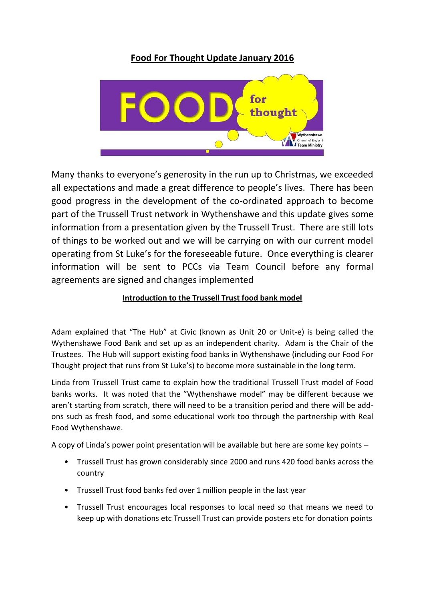# **Food For Thought Update January 2016**



Many thanks to everyone's generosity in the run up to Christmas, we exceeded all expectations and made a great difference to people's lives. There has been good progress in the development of the co-ordinated approach to become part of the Trussell Trust network in Wythenshawe and this update gives some information from a presentation given by the Trussell Trust. There are still lots of things to be worked out and we will be carrying on with our current model operating from St Luke's for the foreseeable future. Once everything is clearer information will be sent to PCCs via Team Council before any formal agreements are signed and changes implemented

## **Introduction to the Trussell Trust food bank model**

Adam explained that "The Hub" at Civic (known as Unit 20 or Unit-e) is being called the Wythenshawe Food Bank and set up as an independent charity. Adam is the Chair of the Trustees. The Hub will support existing food banks in Wythenshawe (including our Food For Thought project that runs from St Luke's) to become more sustainable in the long term.

Linda from Trussell Trust came to explain how the traditional Trussell Trust model of Food banks works. It was noted that the "Wythenshawe model" may be different because we aren't starting from scratch, there will need to be a transition period and there will be addons such as fresh food, and some educational work too through the partnership with Real Food Wythenshawe.

A copy of Linda's power point presentation will be available but here are some key points –

- Trussell Trust has grown considerably since 2000 and runs 420 food banks across the country
- Trussell Trust food banks fed over 1 million people in the last year
- Trussell Trust encourages local responses to local need so that means we need to keep up with donations etc Trussell Trust can provide posters etc for donation points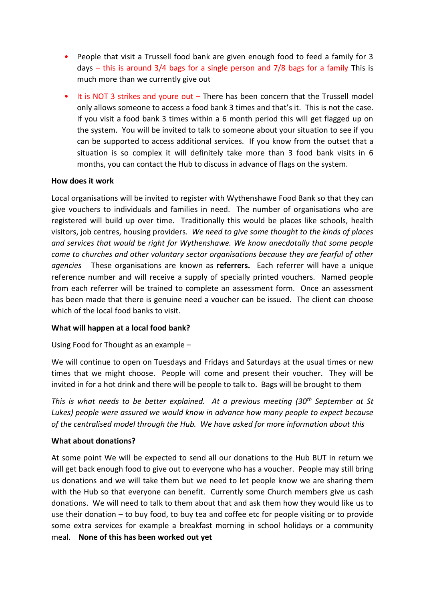- People that visit a Trussell food bank are given enough food to feed a family for 3 days – this is around 3/4 bags for a single person and 7/8 bags for a family This is much more than we currently give out
- It is NOT 3 strikes and youre out There has been concern that the Trussell model only allows someone to access a food bank 3 times and that's it. This is not the case. If you visit a food bank 3 times within a 6 month period this will get flagged up on the system. You will be invited to talk to someone about your situation to see if you can be supported to access additional services. If you know from the outset that a situation is so complex it will definitely take more than 3 food bank visits in 6 months, you can contact the Hub to discuss in advance of flags on the system.

### **How does it work**

Local organisations will be invited to register with Wythenshawe Food Bank so that they can give vouchers to individuals and families in need. The number of organisations who are registered will build up over time. Traditionally this would be places like schools, health visitors, job centres, housing providers. *We need to give some thought to the kinds of places and services that would be right for Wythenshawe. We know anecdotally that some people come to churches and other voluntary sector organisations because they are fearful of other agencies* These organisations are known as **referrers.** Each referrer will have a unique reference number and will receive a supply of specially printed vouchers. Named people from each referrer will be trained to complete an assessment form. Once an assessment has been made that there is genuine need a voucher can be issued. The client can choose which of the local food banks to visit.

### **What will happen at a local food bank?**

Using Food for Thought as an example –

We will continue to open on Tuesdays and Fridays and Saturdays at the usual times or new times that we might choose. People will come and present their voucher. They will be invited in for a hot drink and there will be people to talk to. Bags will be brought to them

*This is what needs to be better explained. At a previous meeting (30th September at St Lukes) people were assured we would know in advance how many people to expect because of the centralised model through the Hub. We have asked for more information about this*

### **What about donations?**

At some point We will be expected to send all our donations to the Hub BUT in return we will get back enough food to give out to everyone who has a voucher. People may still bring us donations and we will take them but we need to let people know we are sharing them with the Hub so that everyone can benefit. Currently some Church members give us cash donations. We will need to talk to them about that and ask them how they would like us to use their donation – to buy food, to buy tea and coffee etc for people visiting or to provide some extra services for example a breakfast morning in school holidays or a community meal. **None of this has been worked out yet**